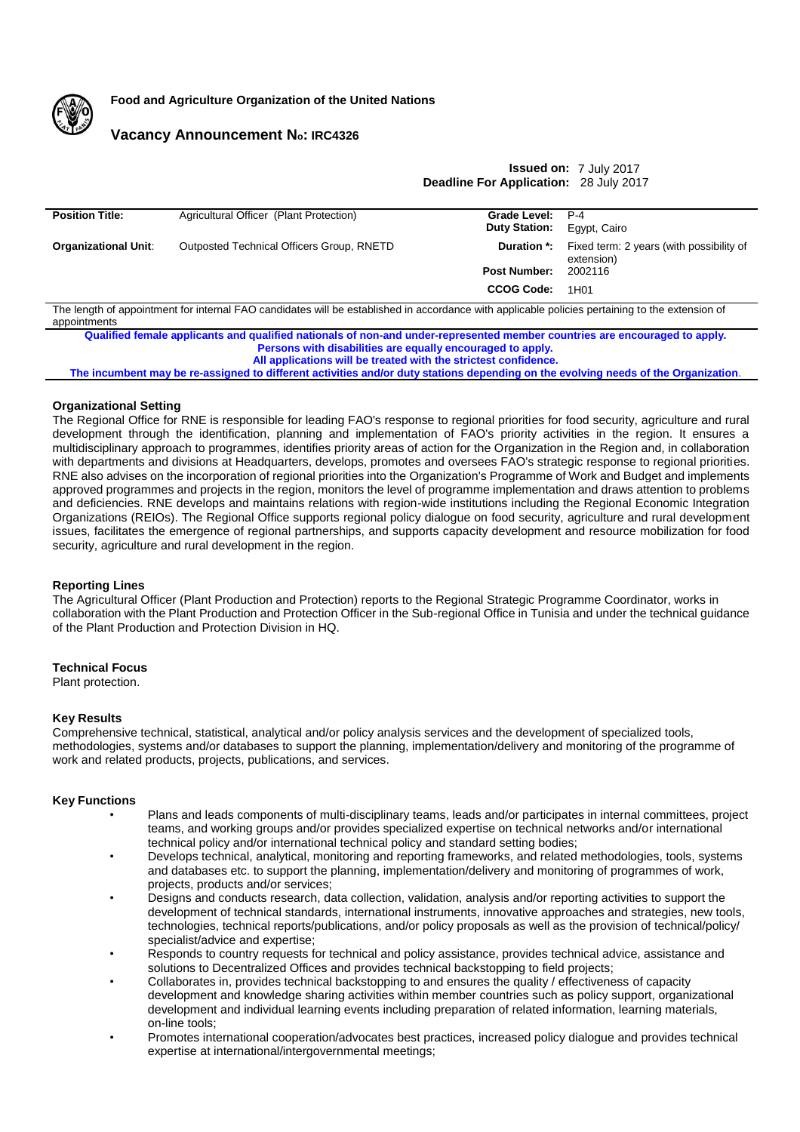

**Food and Agriculture Organization of the United Nations**

# **Vacancy Announcement No: IRC4326**

**Issued on:** 7 July 2017 **Deadline For Application:** 28 July 2017

| <b>Position Title:</b>                                                                                                                                          | Agricultural Officer (Plant Protection)   | Grade Level:         | $P-4$                                                  |
|-----------------------------------------------------------------------------------------------------------------------------------------------------------------|-------------------------------------------|----------------------|--------------------------------------------------------|
|                                                                                                                                                                 |                                           | <b>Duty Station:</b> | Egypt, Cairo                                           |
| <b>Organizational Unit:</b>                                                                                                                                     | Outposted Technical Officers Group, RNETD | Duration *:          | Fixed term: 2 years (with possibility of<br>extension) |
|                                                                                                                                                                 |                                           | <b>Post Number:</b>  | 2002116                                                |
|                                                                                                                                                                 |                                           | <b>CCOG Code:</b>    | 1H <sub>01</sub>                                       |
| The length of appointment for internal FAO candidates will be established in accordance with applicable policies pertaining to the extension of<br>appointments |                                           |                      |                                                        |

**Qualified female applicants and qualified nationals of non-and under-represented member countries are encouraged to apply. Persons with disabilities are equally encouraged to apply. All applications will be treated with the strictest confidence.**

**The incumbent may be re-assigned to different activities and/or duty stations depending on the evolving needs of the Organization**.

## **Organizational Setting**

The Regional Office for RNE is responsible for leading FAO's response to regional priorities for food security, agriculture and rural development through the identification, planning and implementation of FAO's priority activities in the region. It ensures a multidisciplinary approach to programmes, identifies priority areas of action for the Organization in the Region and, in collaboration with departments and divisions at Headquarters, develops, promotes and oversees FAO's strategic response to regional priorities. RNE also advises on the incorporation of regional priorities into the Organization's Programme of Work and Budget and implements approved programmes and projects in the region, monitors the level of programme implementation and draws attention to problems and deficiencies. RNE develops and maintains relations with region-wide institutions including the Regional Economic Integration Organizations (REIOs). The Regional Office supports regional policy dialogue on food security, agriculture and rural development issues, facilitates the emergence of regional partnerships, and supports capacity development and resource mobilization for food security, agriculture and rural development in the region.

### **Reporting Lines**

The Agricultural Officer (Plant Production and Protection) reports to the Regional Strategic Programme Coordinator, works in collaboration with the Plant Production and Protection Officer in the Sub-regional Office in Tunisia and under the technical guidance of the Plant Production and Protection Division in HQ.

### **Technical Focus**

Plant protection.

### **Key Results**

Comprehensive technical, statistical, analytical and/or policy analysis services and the development of specialized tools, methodologies, systems and/or databases to support the planning, implementation/delivery and monitoring of the programme of work and related products, projects, publications, and services.

### **Key Functions**

- Plans and leads components of multi-disciplinary teams, leads and/or participates in internal committees, project teams, and working groups and/or provides specialized expertise on technical networks and/or international technical policy and/or international technical policy and standard setting bodies;
- Develops technical, analytical, monitoring and reporting frameworks, and related methodologies, tools, systems and databases etc. to support the planning, implementation/delivery and monitoring of programmes of work, projects, products and/or services;
- Designs and conducts research, data collection, validation, analysis and/or reporting activities to support the development of technical standards, international instruments, innovative approaches and strategies, new tools, technologies, technical reports/publications, and/or policy proposals as well as the provision of technical/policy/ specialist/advice and expertise;
- Responds to country requests for technical and policy assistance, provides technical advice, assistance and solutions to Decentralized Offices and provides technical backstopping to field projects;
- Collaborates in, provides technical backstopping to and ensures the quality / effectiveness of capacity development and knowledge sharing activities within member countries such as policy support, organizational development and individual learning events including preparation of related information, learning materials, on-line tools;
- Promotes international cooperation/advocates best practices, increased policy dialogue and provides technical expertise at international/intergovernmental meetings;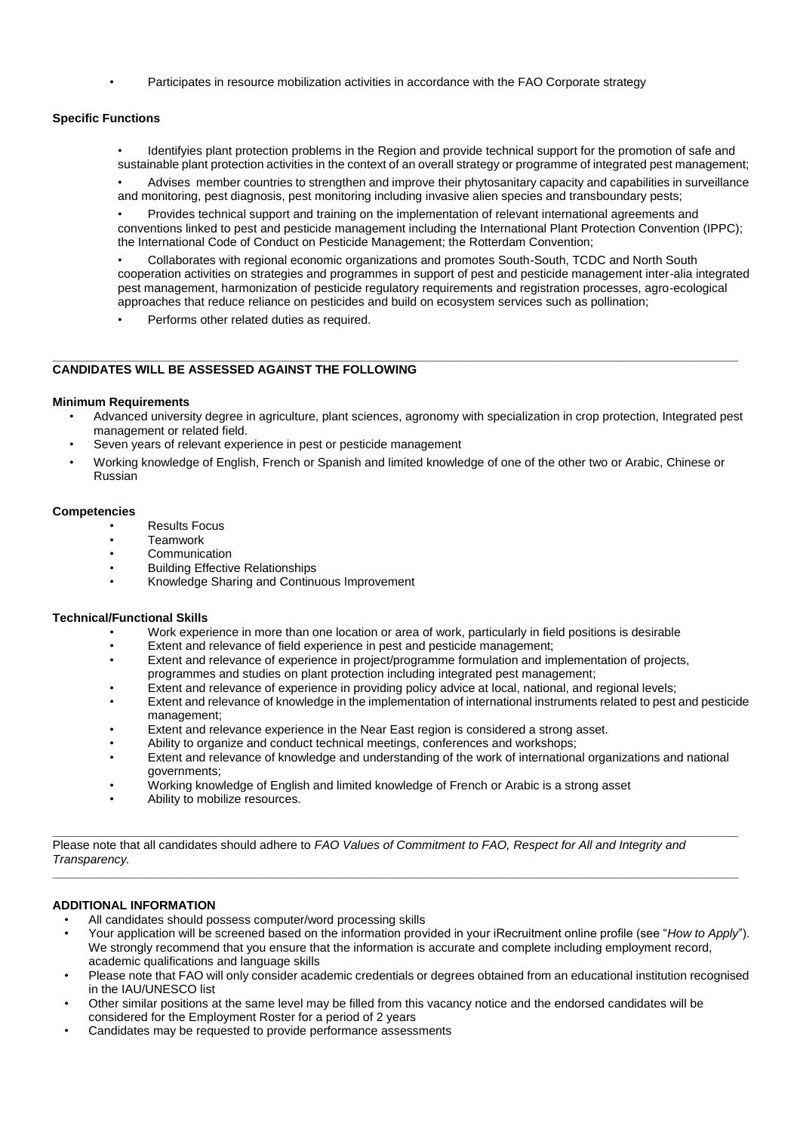• Participates in resource mobilization activities in accordance with the FAO Corporate strategy

## **Specific Functions**

• Identifyies plant protection problems in the Region and provide technical support for the promotion of safe and sustainable plant protection activities in the context of an overall strategy or programme of integrated pest management;

• Advises member countries to strengthen and improve their phytosanitary capacity and capabilities in surveillance and monitoring, pest diagnosis, pest monitoring including invasive alien species and transboundary pests;

• Provides technical support and training on the implementation of relevant international agreements and conventions linked to pest and pesticide management including the International Plant Protection Convention (IPPC); the International Code of Conduct on Pesticide Management; the Rotterdam Convention;

• Collaborates with regional economic organizations and promotes South-South, TCDC and North South cooperation activities on strategies and programmes in support of pest and pesticide management inter-alia integrated pest management, harmonization of pesticide regulatory requirements and registration processes, agro-ecological approaches that reduce reliance on pesticides and build on ecosystem services such as pollination;

Performs other related duties as required.

#### **\_\_\_\_\_\_\_\_\_\_\_\_\_\_\_\_\_\_\_\_\_\_\_\_\_\_\_\_\_\_\_\_\_\_\_\_\_\_\_\_\_\_\_\_\_\_\_\_\_\_\_\_\_\_\_\_\_\_\_\_\_\_\_\_\_\_\_\_\_\_\_\_\_\_\_\_\_\_\_\_\_\_\_\_\_\_\_\_\_\_\_\_\_\_\_\_\_\_\_\_\_\_ CANDIDATES WILL BE ASSESSED AGAINST THE FOLLOWING**

### **Minimum Requirements**

- Advanced university degree in agriculture, plant sciences, agronomy with specialization in crop protection, Integrated pest management or related field.
- Seven years of relevant experience in pest or pesticide management
- Working knowledge of English, French or Spanish and limited knowledge of one of the other two or Arabic, Chinese or Russian

### **Competencies**

- Results Focus
- **Teamwork**
- Communication
- Building Effective Relationships<br>• Knowledge Sharing and Centinu
- Knowledge Sharing and Continuous Improvement

### **Technical/Functional Skills**

- Work experience in more than one location or area of work, particularly in field positions is desirable
- Extent and relevance of field experience in pest and pesticide management;
- Extent and relevance of experience in project/programme formulation and implementation of projects, programmes and studies on plant protection including integrated pest management;
- Extent and relevance of experience in providing policy advice at local, national, and regional levels;
- Extent and relevance of knowledge in the implementation of international instruments related to pest and pesticide management;
- Extent and relevance experience in the Near East region is considered a strong asset.
- Ability to organize and conduct technical meetings, conferences and workshops;
- Extent and relevance of knowledge and understanding of the work of international organizations and national governments;
- Working knowledge of English and limited knowledge of French or Arabic is a strong asset
- Ability to mobilize resources.

Please note that all candidates should adhere to *FAO Values of Commitment to FAO, Respect for All and Integrity and Transparency.*

**\_\_\_\_\_\_\_\_\_\_\_\_\_\_\_\_\_\_\_\_\_\_\_\_\_\_\_\_\_\_\_\_\_\_\_\_\_\_\_\_\_\_\_\_\_\_\_\_\_\_\_\_\_\_\_\_\_\_\_\_\_\_\_\_\_\_\_\_\_\_\_\_\_\_\_\_\_\_\_\_\_\_\_\_\_\_\_\_\_\_\_\_\_\_\_\_\_\_\_\_\_\_**

**\_\_\_\_\_\_\_\_\_\_\_\_\_\_\_\_\_\_\_\_\_\_\_\_\_\_\_\_\_\_\_\_\_\_\_\_\_\_\_\_\_\_\_\_\_\_\_\_\_\_\_\_\_\_\_\_\_\_\_\_\_\_\_\_\_\_\_\_\_\_\_\_\_\_\_\_\_\_\_\_\_\_\_\_\_\_\_\_\_\_\_\_\_\_\_\_\_\_\_\_\_\_**

# **ADDITIONAL INFORMATION**

- All candidates should possess computer/word processing skills
- Your application will be screened based on the information provided in your iRecruitment online profile (see "*How to Apply*"). We strongly recommend that you ensure that the information is accurate and complete including employment record, academic qualifications and language skills
- Please note that FAO will only consider academic credentials or degrees obtained from an educational institution recognised in the IAU/UNESCO list
- Other similar positions at the same level may be filled from this vacancy notice and the endorsed candidates will be considered for the Employment Roster for a period of 2 years
- Candidates may be requested to provide performance assessments